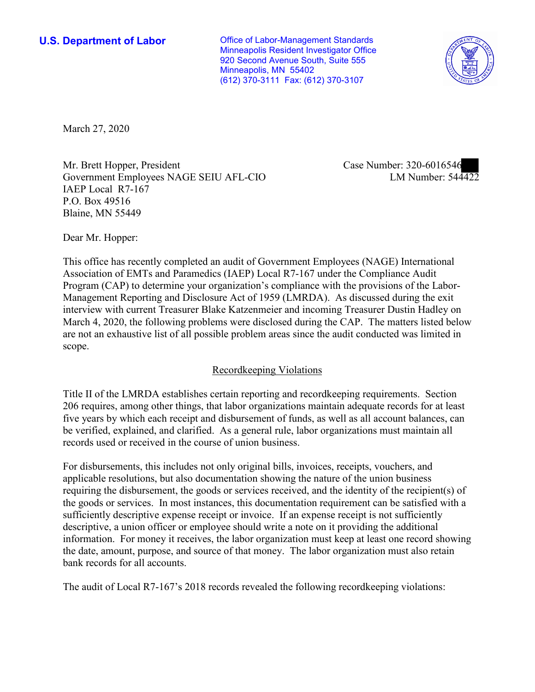**U.S. Department of Labor Conservative Conservative Conservative Conservative U.S.** Department of Labor Minneapolis Resident Investigator Office 920 Second Avenue South, Suite 555 Minneapolis, MN 55402 (612) 370-3111 Fax: (612) 370-3107



March 27, 2020

Mr. Brett Hopper, President Government Employees NAGE SEIU AFL-CIO IAEP Local R7-167 P.O. Box 49516 Blaine, MN 55449

Case Number: 320-6016546<br>LM Number: 544422

Dear Mr. Hopper:

This office has recently completed an audit of Government Employees (NAGE) International Association of EMTs and Paramedics (IAEP) Local R7-167 under the Compliance Audit Program (CAP) to determine your organization's compliance with the provisions of the Labor-Management Reporting and Disclosure Act of 1959 (LMRDA). As discussed during the exit interview with current Treasurer Blake Katzenmeier and incoming Treasurer Dustin Hadley on March 4, 2020, the following problems were disclosed during the CAP. The matters listed below are not an exhaustive list of all possible problem areas since the audit conducted was limited in scope.

## Recordkeeping Violations

Title II of the LMRDA establishes certain reporting and recordkeeping requirements. Section 206 requires, among other things, that labor organizations maintain adequate records for at least five years by which each receipt and disbursement of funds, as well as all account balances, can be verified, explained, and clarified. As a general rule, labor organizations must maintain all records used or received in the course of union business.

For disbursements, this includes not only original bills, invoices, receipts, vouchers, and applicable resolutions, but also documentation showing the nature of the union business requiring the disbursement, the goods or services received, and the identity of the recipient(s) of the goods or services. In most instances, this documentation requirement can be satisfied with a sufficiently descriptive expense receipt or invoice. If an expense receipt is not sufficiently descriptive, a union officer or employee should write a note on it providing the additional information. For money it receives, the labor organization must keep at least one record showing the date, amount, purpose, and source of that money. The labor organization must also retain bank records for all accounts.

The audit of Local R7-167's 2018 records revealed the following recordkeeping violations: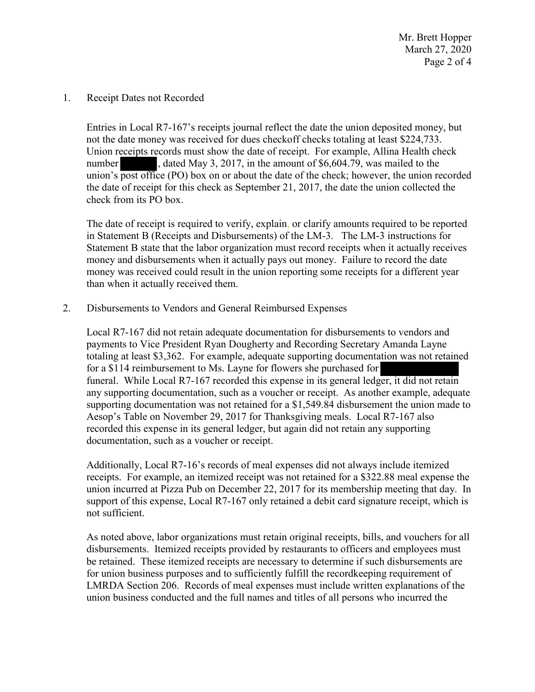Mr. Brett Hopper March 27, 2020 Page 2 of 4

1. Receipt Dates not Recorded

not the date money was received for dues checkoff checks totaling at least \$224,733.<br>Union receipts records must show the date of receipt. For example, Allina Health check<br>number<br> $\bullet$ , dated May 3, 2017, in the amount of \$ Entries in Local R7-167's receipts journal reflect the date the union deposited money, but not the date money was received for dues checkoff checks totaling at least \$224,733. Union receipts records must show the date of receipt. For example, Allina Health check number, dated May 3, 2017, in the amount of \$[6,604.79,](https://6,604.79) was mailed to the union's post office (PO) box on or about the date of the check; however, the union recorded check from its PO box.

The date of receipt is required to verify, explain, or clarify amounts required to be reported in Statement B (Receipts and Disbursements) of the LM-3. The LM-3 instructions for Statement B state that the labor organization must record receipts when it actually receives money and disbursements when it actually pays out money. Failure to record the date money was received could result in the union reporting some receipts for a different year than when it actually received them.

2. Disbursements to Vendors and General Reimbursed Expenses

Local R7-167 did not retain adequate documentation for disbursements to vendors and payments to Vice President Ryan Dougherty and Recording Secretary Amanda Layne totaling at least \$3,362. For example, adequate supporting documentation was not retained for a \$114 reimbursement to Ms. Layne for flowers she purchased for funeral. While Local R7-167 recorded this expense in its general ledger, it did not retain any supporting documentation, such as a voucher or receipt. As another example, adequate supporting documentation was not retained for a \$[1,549.84](https://1,549.84) disbursement the union made to Aesop's Table on November 29, 2017 for Thanksgiving meals. Local R7-167 also recorded this expense in its general ledger, but again did not retain any supporting documentation, such as a voucher or receipt.

Additionally, Local R7-16's records of meal expenses did not always include itemized receipts. For example, an itemized receipt was not retained for a \$322.88 meal expense the union incurred at Pizza Pub on December 22, 2017 for its membership meeting that day. In support of this expense, Local R7-167 only retained a debit card signature receipt, which is not sufficient.

As noted above, labor organizations must retain original receipts, bills, and vouchers for all disbursements. Itemized receipts provided by restaurants to officers and employees must be retained. These itemized receipts are necessary to determine if such disbursements are for union business purposes and to sufficiently fulfill the recordkeeping requirement of LMRDA Section 206. Records of meal expenses must include written explanations of the union business conducted and the full names and titles of all persons who incurred the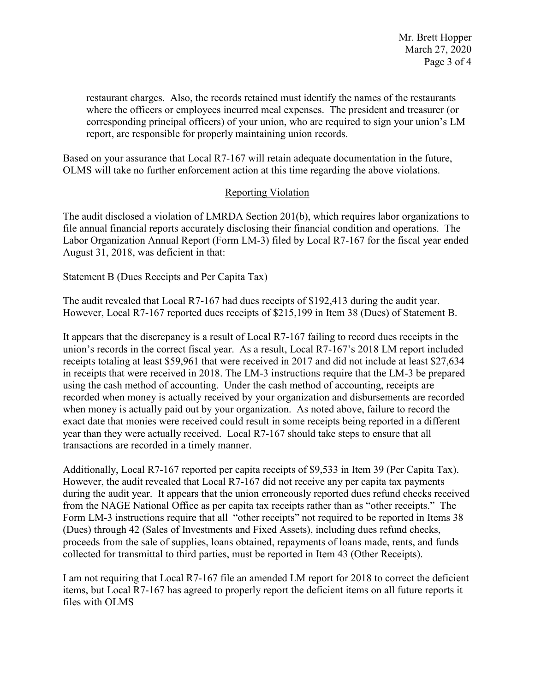restaurant charges. Also, the records retained must identify the names of the restaurants where the officers or employees incurred meal expenses. The president and treasurer (or corresponding principal officers) of your union, who are required to sign your union's LM report, are responsible for properly maintaining union records.

Based on your assurance that Local R7-167 will retain adequate documentation in the future, OLMS will take no further enforcement action at this time regarding the above violations.

## Reporting Violation

The audit disclosed a violation of LMRDA Section 201(b), which requires labor organizations to file annual financial reports accurately disclosing their financial condition and operations. The Labor Organization Annual Report (Form LM-3) filed by Local R7-167 for the fiscal year ended August 31, 2018, was deficient in that:

Statement B (Dues Receipts and Per Capita Tax)

The audit revealed that Local R7-167 had dues receipts of \$192,413 during the audit year. However, Local R7-167 reported dues receipts of \$215,199 in Item 38 (Dues) of Statement B.

It appears that the discrepancy is a result of Local R7-167 failing to record dues receipts in the union's records in the correct fiscal year. As a result, Local R7-167's 2018 LM report included receipts totaling at least \$59,961 that were received in 2017 and did not include at least \$27,634 in receipts that were received in 2018. The LM-3 instructions require that the LM-3 be prepared using the cash method of accounting. Under the cash method of accounting, receipts are recorded when money is actually received by your organization and disbursements are recorded when money is actually paid out by your organization. As noted above, failure to record the exact date that monies were received could result in some receipts being reported in a different year than they were actually received. Local R7-167 should take steps to ensure that all transactions are recorded in a timely manner.

Additionally, Local R7-167 reported per capita receipts of \$9,533 in Item 39 (Per Capita Tax). However, the audit revealed that Local R7-167 did not receive any per capita tax payments during the audit year. It appears that the union erroneously reported dues refund checks received from the NAGE National Office as per capita tax receipts rather than as "other receipts." The Form LM-3 instructions require that all "other receipts" not required to be reported in Items 38 (Dues) through 42 (Sales of Investments and Fixed Assets), including dues refund checks, proceeds from the sale of supplies, loans obtained, repayments of loans made, rents, and funds collected for transmittal to third parties, must be reported in Item 43 (Other Receipts).

I am not requiring that Local R7-167 file an amended LM report for 2018 to correct the deficient items, but Local R7-167 has agreed to properly report the deficient items on all future reports it files with OLMS